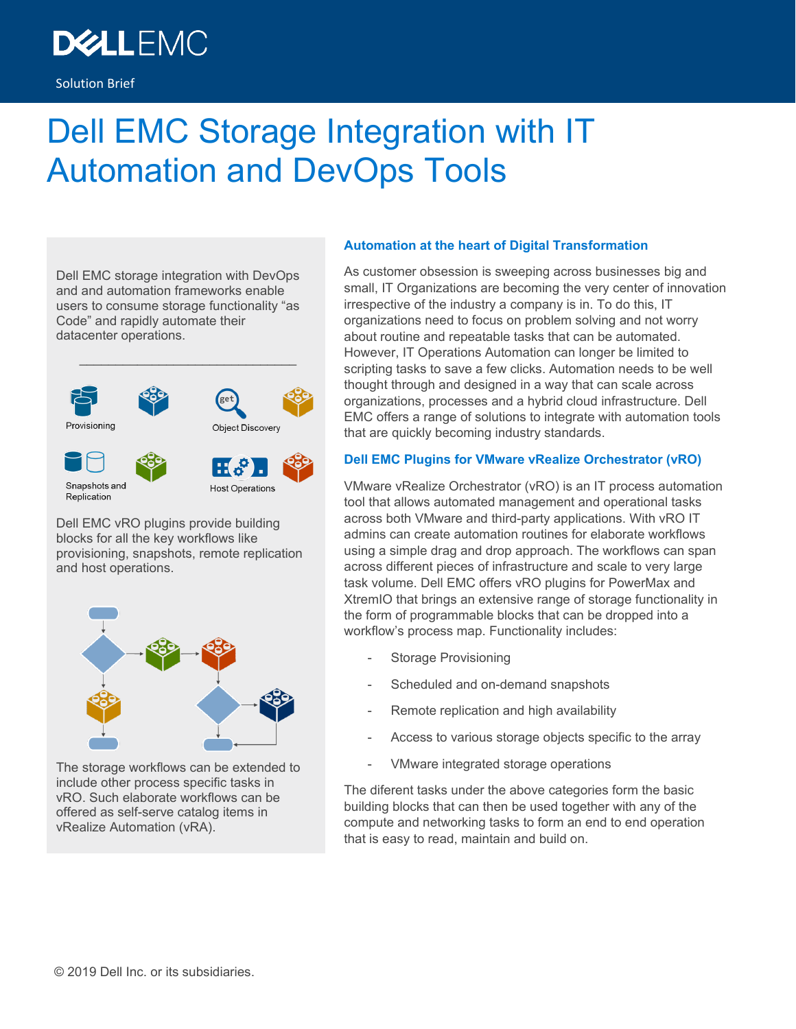# **DEALLEMC**

# Dell EMC Storage Integration with IT Automation and DevOps Tools

Dell EMC storage integration with DevOps and and automation frameworks enable users to consume storage functionality "as Code" and rapidly automate their datacenter operations.



Dell EMC vRO plugins provide building blocks for all the key workflows like provisioning, snapshots, remote replication and host operations.



The storage workflows can be extended to include other process specific tasks in vRO. Such elaborate workflows can be offered as self-serve catalog items in vRealize Automation (vRA).

#### **Automation at the heart of Digital Transformation**

As customer obsession is sweeping across businesses big and small, IT Organizations are becoming the very center of innovation irrespective of the industry a company is in. To do this, IT organizations need to focus on problem solving and not worry about routine and repeatable tasks that can be automated. However, IT Operations Automation can longer be limited to scripting tasks to save a few clicks. Automation needs to be well thought through and designed in a way that can scale across organizations, processes and a hybrid cloud infrastructure. Dell EMC offers a range of solutions to integrate with automation tools that are quickly becoming industry standards.

#### **Dell EMC Plugins for VMware vRealize Orchestrator (vRO)**

VMware vRealize Orchestrator (vRO) is an IT process automation tool that allows automated management and operational tasks across both VMware and third-party applications. With vRO IT admins can create automation routines for elaborate workflows using a simple drag and drop approach. The workflows can span across different pieces of infrastructure and scale to very large task volume. Dell EMC offers vRO plugins for PowerMax and XtremIO that brings an extensive range of storage functionality in the form of programmable blocks that can be dropped into a workflow's process map. Functionality includes:

- Storage Provisioning
- Scheduled and on-demand snapshots
- Remote replication and high availability
- Access to various storage objects specific to the array
- VMware integrated storage operations

The diferent tasks under the above categories form the basic building blocks that can then be used together with any of the compute and networking tasks to form an end to end operation that is easy to read, maintain and build on.